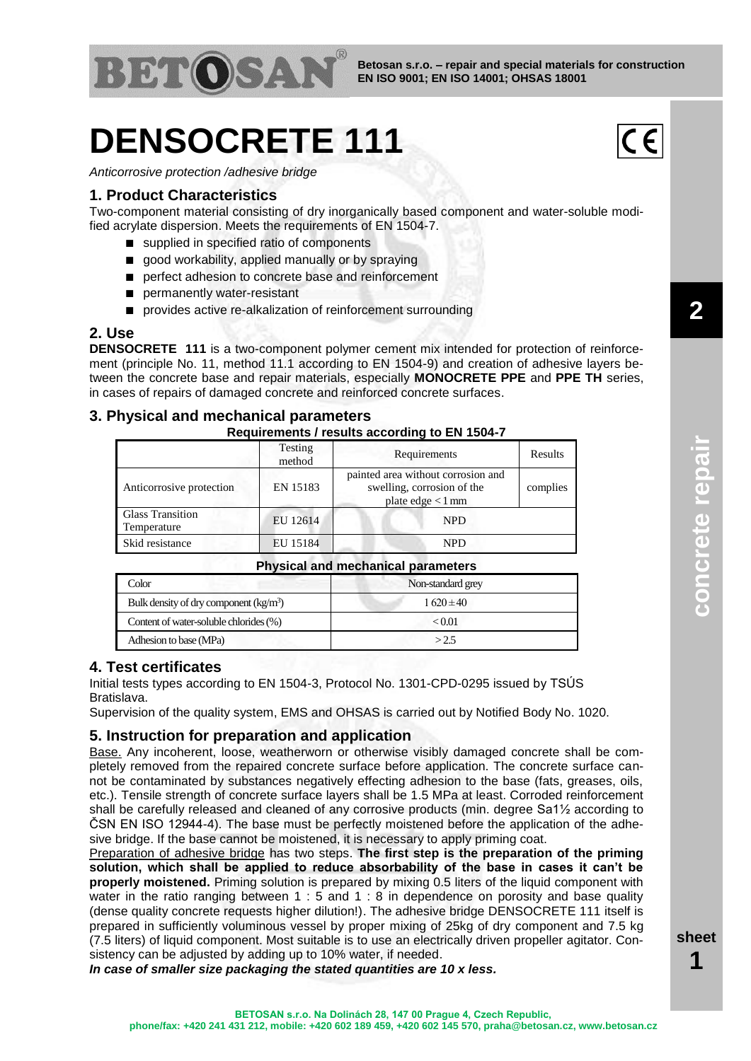

# **DENSOCRETE 111**



*Anticorrosive protection /adhesive bridge*

#### **1. Product Characteristics**

Two-component material consisting of dry inorganically based component and water-soluble modified acrylate dispersion. Meets the requirements of EN 1504-7.

- supplied in specified ratio of components
- good workability, applied manually or by spraying
- perfect adhesion to concrete base and reinforcement
- permanently water-resistant
- provides active re-alkalization of reinforcement surrounding

#### **2. Use**

**DENSOCRETE 111** is a two-component polymer cement mix intended for protection of reinforcement (principle No. 11, method 11.1 according to EN 1504-9) and creation of adhesive layers between the concrete base and repair materials, especially **MONOCRETE PPE** and **PPE TH** series, in cases of repairs of damaged concrete and reinforced concrete surfaces.

#### **3. Physical and mechanical parameters**

#### **Requirements / results according to EN 1504-7**

|                                        | Testing<br>method | Requirements                                                                            | Results  |
|----------------------------------------|-------------------|-----------------------------------------------------------------------------------------|----------|
| Anticorrosive protection               | EN 15183          | painted area without corrosion and<br>swelling, corrosion of the<br>plate $edge < 1$ mm | complies |
| <b>Glass Transition</b><br>Temperature | EU 12614          | <b>NPD</b>                                                                              |          |
| Skid resistance                        | EU 15184          | <b>NPD</b>                                                                              |          |

#### **Physical and mechanical parameters**

| Color                                   | Non-standard grey |  |  |
|-----------------------------------------|-------------------|--|--|
| Bulk density of dry component $(kg/m3)$ | $1620 \pm 40$     |  |  |
| Content of water-soluble chlorides (%)  | ${<}0.01$         |  |  |
| Adhesion to base (MPa)                  | >2.5              |  |  |

#### **4. Test certificates**

Initial tests types according to EN 1504-3, Protocol No. 1301-CPD-0295 issued by TSÚS Bratislava.

Supervision of the quality system, EMS and OHSAS is carried out by Notified Body No. 1020.

#### **5. Instruction for preparation and application**

Base. Any incoherent, loose, weatherworn or otherwise visibly damaged concrete shall be completely removed from the repaired concrete surface before application. The concrete surface cannot be contaminated by substances negatively effecting adhesion to the base (fats, greases, oils, etc.). Tensile strength of concrete surface layers shall be 1.5 MPa at least. Corroded reinforcement shall be carefully released and cleaned of any corrosive products (min. degree Sa1½ according to ČSN EN ISO 12944-4). The base must be perfectly moistened before the application of the adhesive bridge. If the base cannot be moistened, it is necessary to apply priming coat.

Preparation of adhesive bridge has two steps. **The first step is the preparation of the priming solution, which shall be applied to reduce absorbability of the base in cases it can't be properly moistened.** Priming solution is prepared by mixing 0.5 liters of the liquid component with water in the ratio ranging between 1 : 5 and 1 : 8 in dependence on porosity and base quality (dense quality concrete requests higher dilution!). The adhesive bridge DENSOCRETE 111 itself is prepared in sufficiently voluminous vessel by proper mixing of 25kg of dry component and 7.5 kg (7.5 liters) of liquid component. Most suitable is to use an electrically driven propeller agitator. Consistency can be adjusted by adding up to 10% water, if needed.

*In case of smaller size packaging the stated quantities are 10 x less.*

**2**

**sheet 1**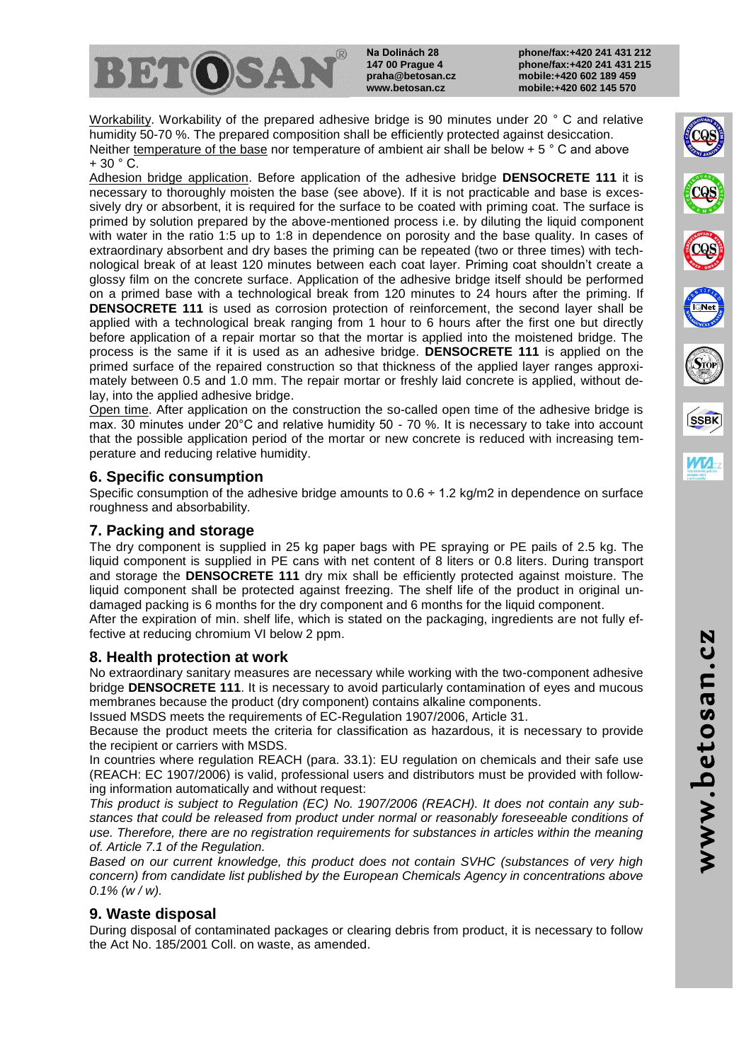

**Na Dolinách 28 147 00 Prague 4 praha@betosan.cz www.betosan.cz**

www.betosan.cz

www.betosan.cz

**SSBK** 

Workability. Workability of the prepared adhesive bridge is 90 minutes under 20 ° C and relative humidity 50-70 %. The prepared composition shall be efficiently protected against desiccation. Neither temperature of the base nor temperature of ambient air shall be below  $+ 5 \degree$  C and above  $+ 30 ° C$ .

Adhesion bridge application. Before application of the adhesive bridge **DENSOCRETE 111** it is necessary to thoroughly moisten the base (see above). If it is not practicable and base is excessively dry or absorbent, it is required for the surface to be coated with priming coat. The surface is primed by solution prepared by the above-mentioned process i.e. by diluting the liquid component with water in the ratio 1:5 up to 1:8 in dependence on porosity and the base quality. In cases of extraordinary absorbent and dry bases the priming can be repeated (two or three times) with technological break of at least 120 minutes between each coat layer. Priming coat shouldn't create a glossy film on the concrete surface. Application of the adhesive bridge itself should be performed on a primed base with a technological break from 120 minutes to 24 hours after the priming. If **DENSOCRETE 111** is used as corrosion protection of reinforcement, the second layer shall be applied with a technological break ranging from 1 hour to 6 hours after the first one but directly before application of a repair mortar so that the mortar is applied into the moistened bridge. The process is the same if it is used as an adhesive bridge. **DENSOCRETE 111** is applied on the primed surface of the repaired construction so that thickness of the applied layer ranges approximately between 0.5 and 1.0 mm. The repair mortar or freshly laid concrete is applied, without delay, into the applied adhesive bridge.

Open time. After application on the construction the so-called open time of the adhesive bridge is max. 30 minutes under 20°C and relative humidity 50 - 70 %. It is necessary to take into account that the possible application period of the mortar or new concrete is reduced with increasing temperature and reducing relative humidity.

# **6. Specific consumption**

Specific consumption of the adhesive bridge amounts to  $0.6 \div 1.2$  kg/m2 in dependence on surface roughness and absorbability.

## **7. Packing and storage**

The dry component is supplied in 25 kg paper bags with PE spraying or PE pails of 2.5 kg. The liquid component is supplied in PE cans with net content of 8 liters or 0.8 liters. During transport and storage the **DENSOCRETE 111** dry mix shall be efficiently protected against moisture. The liquid component shall be protected against freezing. The shelf life of the product in original undamaged packing is 6 months for the dry component and 6 months for the liquid component.

After the expiration of min. shelf life, which is stated on the packaging, ingredients are not fully effective at reducing chromium VI below 2 ppm.

## **8. Health protection at work**

No extraordinary sanitary measures are necessary while working with the two-component adhesive bridge **DENSOCRETE 111**. It is necessary to avoid particularly contamination of eyes and mucous membranes because the product (dry component) contains alkaline components.

Issued MSDS meets the requirements of EC-Regulation 1907/2006, Article 31.

Because the product meets the criteria for classification as hazardous, it is necessary to provide the recipient or carriers with MSDS.

In countries where regulation REACH (para. 33.1): EU regulation on chemicals and their safe use (REACH: EC 1907/2006) is valid, professional users and distributors must be provided with following information automatically and without request:

*This product is subject to Regulation (EC) No. 1907/2006 (REACH). It does not contain any substances that could be released from product under normal or reasonably foreseeable conditions of use. Therefore, there are no registration requirements for substances in articles within the meaning of. Article 7.1 of the Regulation.*

*Based on our current knowledge, this product does not contain SVHC (substances of very high concern) from candidate list published by the European Chemicals Agency in concentrations above 0.1% (w / w).*

## **9. Waste disposal**

During disposal of contaminated packages or clearing debris from product, it is necessary to follow the Act No. 185/2001 Coll. on waste, as amended.